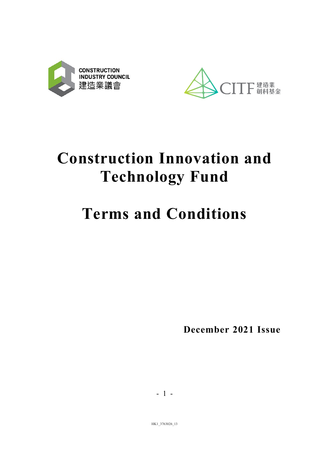



# Construction Innovation and Technology Fund

# Terms and Conditions

December 2021 Issue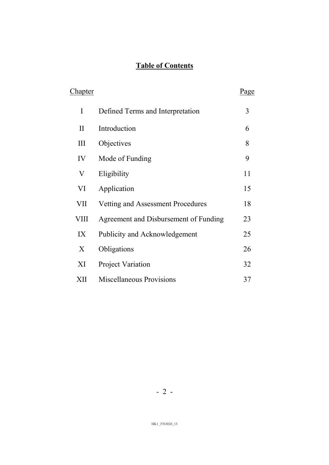# Table of Contents

| <u>Chapter</u> |                                       | Page |
|----------------|---------------------------------------|------|
| I              | Defined Terms and Interpretation      | 3    |
| $\mathbf{I}$   | Introduction                          | 6    |
| Ш              | Objectives                            | 8    |
| IV             | Mode of Funding                       | 9    |
| $\rm V$        | Eligibility                           | 11   |
| VI             | Application                           | 15   |
| VII            | Vetting and Assessment Procedures     | 18   |
| VIII           | Agreement and Disbursement of Funding | 23   |
| IX             | Publicity and Acknowledgement         | 25   |
| X              | Obligations                           | 26   |
| XI             | <b>Project Variation</b>              | 32   |
| XII            | <b>Miscellaneous Provisions</b>       | 37   |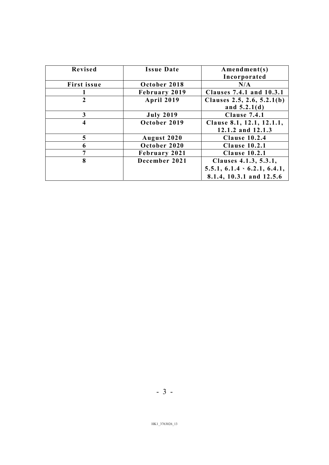| Revised        | <b>Issue Date</b> | $A$ mendment $(s)$<br>Incorporated             |
|----------------|-------------------|------------------------------------------------|
| First issue    | October 2018      | N/A                                            |
|                | February 2019     | Clauses 7.4.1 and 10.3.1                       |
| $\overline{2}$ | <b>April 2019</b> | Clauses 2.5, 2.6, $5.2.1(b)$<br>and $5.2.1(d)$ |
| 3              | <b>July 2019</b>  | Clause 7.4.1                                   |
| 4              | October 2019      | Clause 8.1, 12.1, 12.1.1,<br>12.1.2 and 12.1.3 |
| 5              | August 2020       | <b>Clause 10.2.4</b>                           |
| 6              | October 2020      | <b>Clause 10.2.1</b>                           |
| 7              | February 2021     | <b>Clause 10.2.1</b>                           |
| 8              | December 2021     | Clauses 4.1.3, 5.3.1,                          |
|                |                   | $5.5.1, 6.1.4 \cdot 6.2.1, 6.4.1,$             |
|                |                   | 8.1.4, 10.3.1 and 12.5.6                       |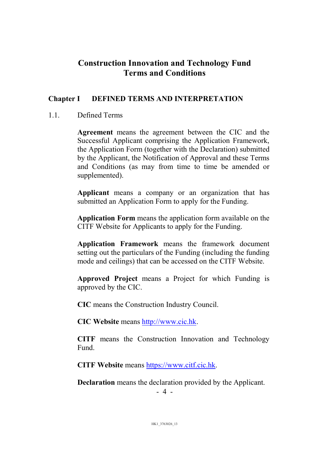# Construction Innovation and Technology Fund Terms and Conditions

## Chapter I DEFINED TERMS AND INTERPRETATION

#### 1.1. Defined Terms

Agreement means the agreement between the CIC and the Successful Applicant comprising the Application Framework, the Application Form (together with the Declaration) submitted by the Applicant, the Notification of Approval and these Terms and Conditions (as may from time to time be amended or supplemented).

Applicant means a company or an organization that has submitted an Application Form to apply for the Funding.

Application Form means the application form available on the CITF Website for Applicants to apply for the Funding.

Application Framework means the framework document setting out the particulars of the Funding (including the funding mode and ceilings) that can be accessed on the CITF Website.

Approved Project means a Project for which Funding is approved by the CIC.

CIC means the Construction Industry Council.

CIC Website means http://www.cic.hk.

CITF means the Construction Innovation and Technology Fund.

CITF Website means https://www.citf.cic.hk.

Declaration means the declaration provided by the Applicant.

- 4 -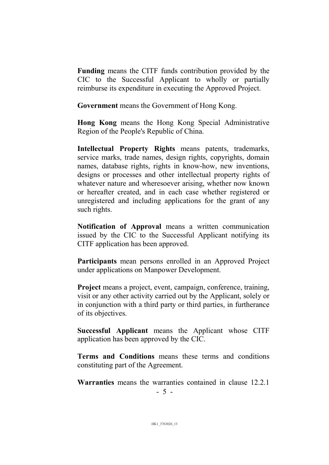Funding means the CITF funds contribution provided by the CIC to the Successful Applicant to wholly or partially reimburse its expenditure in executing the Approved Project.

Government means the Government of Hong Kong.

Hong Kong means the Hong Kong Special Administrative Region of the People's Republic of China.

Intellectual Property Rights means patents, trademarks, service marks, trade names, design rights, copyrights, domain names, database rights, rights in know-how, new inventions, designs or processes and other intellectual property rights of whatever nature and wheresoever arising, whether now known or hereafter created, and in each case whether registered or unregistered and including applications for the grant of any such rights.

Notification of Approval means a written communication issued by the CIC to the Successful Applicant notifying its CITF application has been approved.

Participants mean persons enrolled in an Approved Project under applications on Manpower Development.

Project means a project, event, campaign, conference, training, visit or any other activity carried out by the Applicant, solely or in conjunction with a third party or third parties, in furtherance of its objectives.

Successful Applicant means the Applicant whose CITF application has been approved by the CIC.

Terms and Conditions means these terms and conditions constituting part of the Agreement.

Warranties means the warranties contained in clause 12.2.1

- 5 -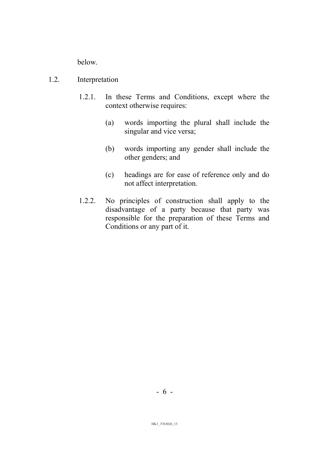below.

#### 1.2. Interpretation

- 1.2.1. In these Terms and Conditions, except where the context otherwise requires:
	- (a) words importing the plural shall include the singular and vice versa;
	- (b) words importing any gender shall include the other genders; and
	- (c) headings are for ease of reference only and do not affect interpretation.
- 1.2.2. No principles of construction shall apply to the disadvantage of a party because that party was responsible for the preparation of these Terms and Conditions or any part of it.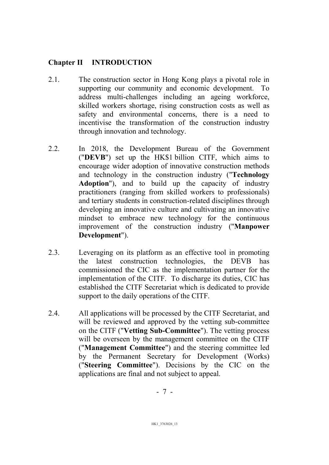#### Chapter II INTRODUCTION

- 2.1. The construction sector in Hong Kong plays a pivotal role in supporting our community and economic development. To address multi-challenges including an ageing workforce, skilled workers shortage, rising construction costs as well as safety and environmental concerns, there is a need to incentivise the transformation of the construction industry through innovation and technology.
- 2.2. In 2018, the Development Bureau of the Government ("DEVB") set up the HK\$1 billion CITF, which aims to encourage wider adoption of innovative construction methods and technology in the construction industry ("Technology Adoption"), and to build up the capacity of industry practitioners (ranging from skilled workers to professionals) and tertiary students in construction-related disciplines through developing an innovative culture and cultivating an innovative mindset to embrace new technology for the continuous improvement of the construction industry ("Manpower Development").
- 2.3. Leveraging on its platform as an effective tool in promoting the latest construction technologies, the DEVB has commissioned the CIC as the implementation partner for the implementation of the CITF. To discharge its duties, CIC has established the CITF Secretariat which is dedicated to provide support to the daily operations of the CITF.
- 2.4. All applications will be processed by the CITF Secretariat, and will be reviewed and approved by the vetting sub-committee on the CITF ("Vetting Sub-Committee"). The vetting process will be overseen by the management committee on the CITF ("Management Committee") and the steering committee led by the Permanent Secretary for Development (Works) ("Steering Committee"). Decisions by the CIC on the applications are final and not subject to appeal.

- 7 -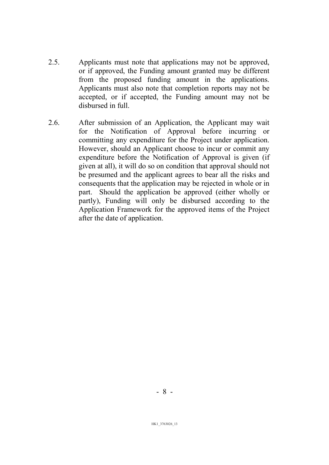- 2.5. Applicants must note that applications may not be approved, or if approved, the Funding amount granted may be different from the proposed funding amount in the applications. Applicants must also note that completion reports may not be accepted, or if accepted, the Funding amount may not be disbursed in full.
- 2.6. After submission of an Application, the Applicant may wait for the Notification of Approval before incurring or committing any expenditure for the Project under application. However, should an Applicant choose to incur or commit any expenditure before the Notification of Approval is given (if given at all), it will do so on condition that approval should not be presumed and the applicant agrees to bear all the risks and consequents that the application may be rejected in whole or in part. Should the application be approved (either wholly or partly), Funding will only be disbursed according to the Application Framework for the approved items of the Project after the date of application.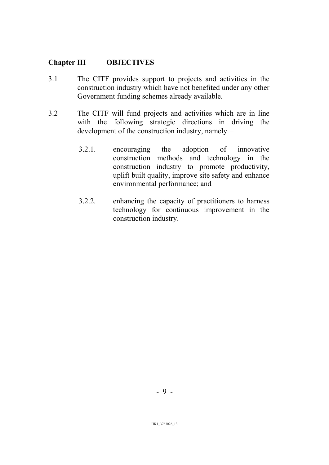#### Chapter III OBJECTIVES

- 3.1 The CITF provides support to projects and activities in the construction industry which have not benefited under any other Government funding schemes already available.
- 3.2 The CITF will fund projects and activities which are in line with the following strategic directions in driving the development of the construction industry, namely-
	- 3.2.1. encouraging the adoption of innovative construction methods and technology in the construction industry to promote productivity, uplift built quality, improve site safety and enhance environmental performance; and
	- 3.2.2. enhancing the capacity of practitioners to harness technology for continuous improvement in the construction industry.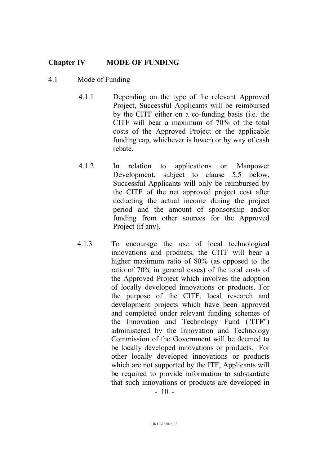#### Chapter IV MODE OF FUNDING

#### 4.1 Mode of Funding

- 4.1.1 Depending on the type of the relevant Approved Project, Successful Applicants will be reimbursed by the CITF either on a co-funding basis (i.e. the CITF will bear a maximum of 70% of the total costs of the Approved Project or the applicable funding cap, whichever is lower) or by way of cash rebate.
- 4.1.2 In relation to applications on Manpower Development, subject to clause 5.5 below, Successful Applicants will only be reimbursed by the CITF of the net approved project cost after deducting the actual income during the project period and the amount of sponsorship and/or funding from other sources for the Approved Project (if any).
- 4.1.3 To encourage the use of local technological innovations and products, the CITF will bear a higher maximum ratio of 80% (as opposed to the ratio of 70% in general cases) of the total costs of the Approved Project which involves the adoption of locally developed innovations or products. For the purpose of the CITF, local research and development projects which have been approved and completed under relevant funding schemes of the Innovation and Technology Fund ("ITF") administered by the Innovation and Technology Commission of the Government will be deemed to be locally developed innovations or products. For other locally developed innovations or products which are not supported by the ITF, Applicants will be required to provide information to substantiate that such innovations or products are developed in

 $-10 -$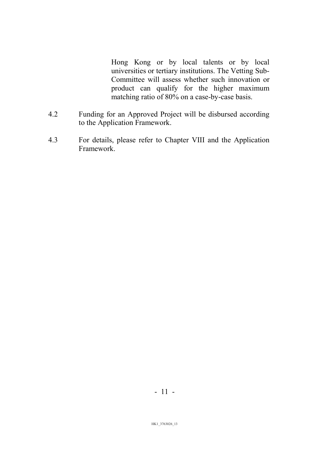Hong Kong or by local talents or by local universities or tertiary institutions. The Vetting Sub-Committee will assess whether such innovation or product can qualify for the higher maximum matching ratio of 80% on a case-by-case basis.

- 4.2 Funding for an Approved Project will be disbursed according to the Application Framework.
- 4.3 For details, please refer to Chapter VIII and the Application Framework.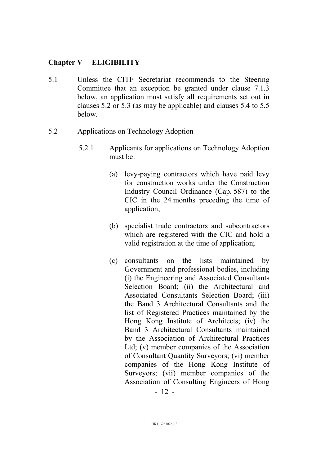#### Chapter V ELIGIBILITY

- 5.1 Unless the CITF Secretariat recommends to the Steering Committee that an exception be granted under clause 7.1.3 below, an application must satisfy all requirements set out in clauses 5.2 or 5.3 (as may be applicable) and clauses 5.4 to 5.5 below.
- 5.2 Applications on Technology Adoption
	- 5.2.1 Applicants for applications on Technology Adoption must be:
		- (a) levy-paying contractors which have paid levy for construction works under the Construction Industry Council Ordinance (Cap. 587) to the CIC in the 24 months preceding the time of application;
		- (b) specialist trade contractors and subcontractors which are registered with the CIC and hold a valid registration at the time of application;
		- (c) consultants on the lists maintained by Government and professional bodies, including (i) the Engineering and Associated Consultants Selection Board; (ii) the Architectural and Associated Consultants Selection Board; (iii) the Band 3 Architectural Consultants and the list of Registered Practices maintained by the Hong Kong Institute of Architects; (iv) the Band 3 Architectural Consultants maintained by the Association of Architectural Practices Ltd; (v) member companies of the Association of Consultant Quantity Surveyors; (vi) member companies of the Hong Kong Institute of Surveyors; (vii) member companies of the Association of Consulting Engineers of Hong

- 12 -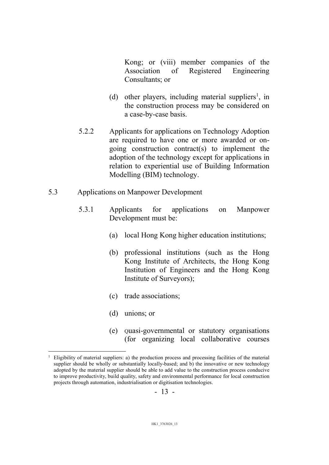Kong; or (viii) member companies of the Association of Registered Engineering Consultants; or

- (d) other players, including material suppliers<sup>1</sup>, in the construction process may be considered on a case-by-case basis.
- 5.2.2 Applicants for applications on Technology Adoption are required to have one or more awarded or ongoing construction contract(s) to implement the adoption of the technology except for applications in relation to experiential use of Building Information Modelling (BIM) technology.
- 5.3 Applications on Manpower Development
	- 5.3.1 Applicants for applications on Manpower Development must be:
		- (a) local Hong Kong higher education institutions;
		- (b) professional institutions (such as the Hong Kong Institute of Architects, the Hong Kong Institution of Engineers and the Hong Kong Institute of Surveyors);
		- (c) trade associations;
		- (d) unions; or

 $\overline{a}$ 

(e) Quasi-governmental or statutory organisations (for organizing local collaborative courses

<sup>1</sup> Eligibility of material suppliers: a) the production process and processing facilities of the material supplier should be wholly or substantially locally-based; and b) the innovative or new technology adopted by the material supplier should be able to add value to the construction process conducive to improve productivity, build quality, safety and environmental performance for local construction projects through automation, industrialisation or digitisation technologies.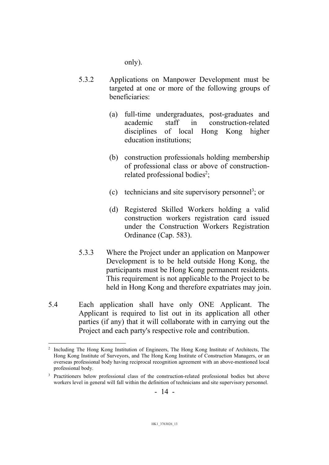only).

- 5.3.2 Applications on Manpower Development must be targeted at one or more of the following groups of beneficiaries:
	- (a) full-time undergraduates, post-graduates and academic staff in construction-related disciplines of local Hong Kong higher education institutions;
	- (b) construction professionals holding membership of professional class or above of constructionrelated professional bodies<sup>2</sup>;
	- (c) technicians and site supervisory personnel<sup>3</sup>; or
	- (d) Registered Skilled Workers holding a valid construction workers registration card issued under the Construction Workers Registration Ordinance (Cap. 583).
- 5.3.3 Where the Project under an application on Manpower Development is to be held outside Hong Kong, the participants must be Hong Kong permanent residents. This requirement is not applicable to the Project to be held in Hong Kong and therefore expatriates may join.
- 5.4 Each application shall have only ONE Applicant. The Applicant is required to list out in its application all other parties (if any) that it will collaborate with in carrying out the Project and each party's respective role and contribution.

 $\overline{a}$ 2 Including The Hong Kong Institution of Engineers, The Hong Kong Institute of Architects, The Hong Kong Institute of Surveyors, and The Hong Kong Institute of Construction Managers, or an overseas professional body having reciprocal recognition agreement with an above-mentioned local professional body.

<sup>&</sup>lt;sup>3</sup> Practitioners below professional class of the construction-related professional bodies but above workers level in general will fall within the definition of technicians and site supervisory personnel.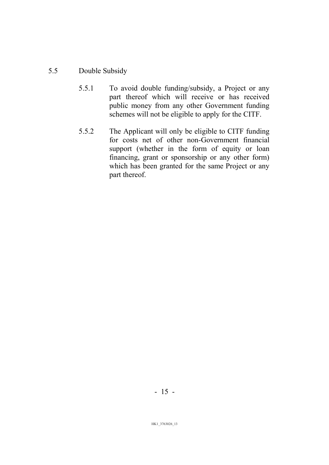#### 5.5 Double Subsidy

- 5.5.1 To avoid double funding/subsidy, a Project or any part thereof which will receive or has received public money from any other Government funding schemes will not be eligible to apply for the CITF.
- 5.5.2 The Applicant will only be eligible to CITF funding for costs net of other non-Government financial support (whether in the form of equity or loan financing, grant or sponsorship or any other form) which has been granted for the same Project or any part thereof.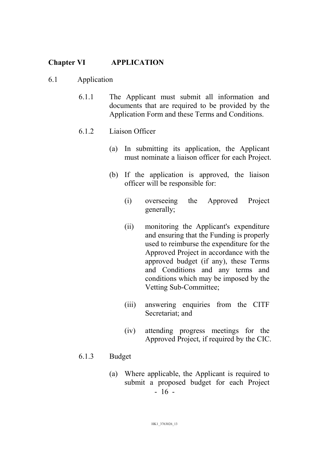#### Chapter VI APPLICATION

#### 6.1 Application

- 6.1.1 The Applicant must submit all information and documents that are required to be provided by the Application Form and these Terms and Conditions.
- 6.1.2 Liaison Officer
	- (a) In submitting its application, the Applicant must nominate a liaison officer for each Project.
	- (b) If the application is approved, the liaison officer will be responsible for:
		- (i) overseeing the Approved Project generally;
		- (ii) monitoring the Applicant's expenditure and ensuring that the Funding is properly used to reimburse the expenditure for the Approved Project in accordance with the approved budget (if any), these Terms and Conditions and any terms and conditions which may be imposed by the Vetting Sub-Committee;
		- (iii) answering enquiries from the CITF Secretariat; and
		- (iv) attending progress meetings for the Approved Project, if required by the CIC.

#### 6.1.3 Budget

- 16 - (a) Where applicable, the Applicant is required to submit a proposed budget for each Project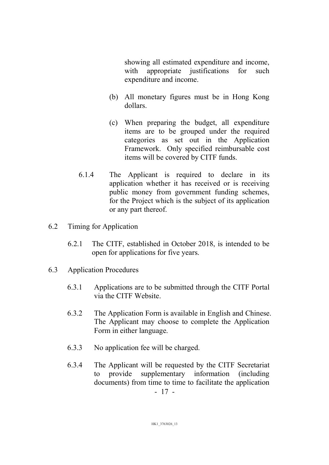showing all estimated expenditure and income, with appropriate justifications for such expenditure and income.

- (b) All monetary figures must be in Hong Kong dollars.
- (c) When preparing the budget, all expenditure items are to be grouped under the required categories as set out in the Application Framework. Only specified reimbursable cost items will be covered by CITF funds.
- 6.1.4 The Applicant is required to declare in its application whether it has received or is receiving public money from government funding schemes, for the Project which is the subject of its application or any part thereof.
- 6.2 Timing for Application
	- 6.2.1 The CITF, established in October 2018, is intended to be open for applications for five years.
- 6.3 Application Procedures
	- 6.3.1 Applications are to be submitted through the CITF Portal via the CITF Website.
	- 6.3.2 The Application Form is available in English and Chinese. The Applicant may choose to complete the Application Form in either language.
	- 6.3.3 No application fee will be charged.
	- 6.3.4 The Applicant will be requested by the CITF Secretariat to provide supplementary information (including documents) from time to time to facilitate the application

- 17 -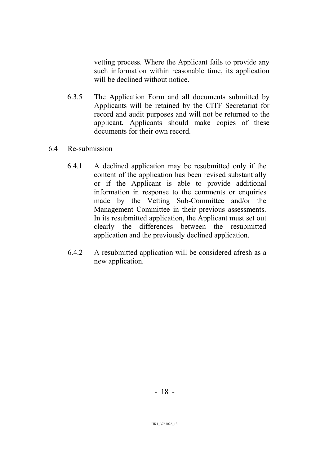vetting process. Where the Applicant fails to provide any such information within reasonable time, its application will be declined without notice.

6.3.5 The Application Form and all documents submitted by Applicants will be retained by the CITF Secretariat for record and audit purposes and will not be returned to the applicant. Applicants should make copies of these documents for their own record.

#### 6.4 Re-submission

- 6.4.1 A declined application may be resubmitted only if the content of the application has been revised substantially or if the Applicant is able to provide additional information in response to the comments or enquiries made by the Vetting Sub-Committee and/or the Management Committee in their previous assessments. In its resubmitted application, the Applicant must set out clearly the differences between the resubmitted application and the previously declined application.
- 6.4.2 A resubmitted application will be considered afresh as a new application.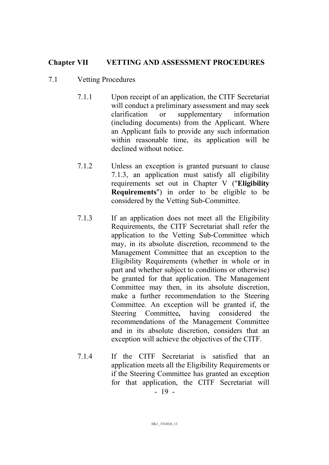#### Chapter VII VETTING AND ASSESSMENT PROCEDURES

#### 7.1 Vetting Procedures

- 7.1.1 Upon receipt of an application, the CITF Secretariat will conduct a preliminary assessment and may seek clarification or supplementary information (including documents) from the Applicant. Where an Applicant fails to provide any such information within reasonable time, its application will be declined without notice.
- 7.1.2 Unless an exception is granted pursuant to clause 7.1.3, an application must satisfy all eligibility requirements set out in Chapter V ("Eligibility Requirements") in order to be eligible to be considered by the Vetting Sub-Committee.
- 7.1.3 If an application does not meet all the Eligibility Requirements, the CITF Secretariat shall refer the application to the Vetting Sub-Committee which may, in its absolute discretion, recommend to the Management Committee that an exception to the Eligibility Requirements (whether in whole or in part and whether subject to conditions or otherwise) be granted for that application. The Management Committee may then, in its absolute discretion, make a further recommendation to the Steering Committee. An exception will be granted if, the Steering Committee, having considered the recommendations of the Management Committee and in its absolute discretion, considers that an exception will achieve the objectives of the CITF.
- 19 7.1.4 If the CITF Secretariat is satisfied that an application meets all the Eligibility Requirements or if the Steering Committee has granted an exception for that application, the CITF Secretariat will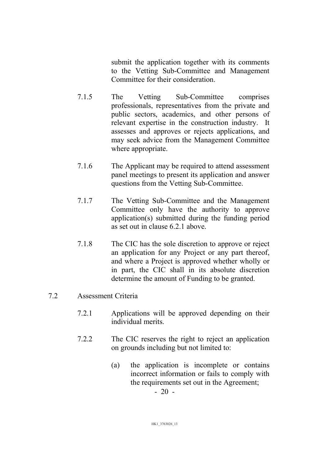submit the application together with its comments to the Vetting Sub-Committee and Management Committee for their consideration.

- 7.1.5 The Vetting Sub-Committee comprises professionals, representatives from the private and public sectors, academics, and other persons of relevant expertise in the construction industry. It assesses and approves or rejects applications, and may seek advice from the Management Committee where appropriate.
- 7.1.6 The Applicant may be required to attend assessment panel meetings to present its application and answer questions from the Vetting Sub-Committee.
- 7.1.7 The Vetting Sub-Committee and the Management Committee only have the authority to approve application(s) submitted during the funding period as set out in clause 6.2.1 above.
- 7.1.8 The CIC has the sole discretion to approve or reject an application for any Project or any part thereof, and where a Project is approved whether wholly or in part, the CIC shall in its absolute discretion determine the amount of Funding to be granted.

#### 7.2 Assessment Criteria

- 7.2.1 Applications will be approved depending on their individual merits.
- 7.2.2 The CIC reserves the right to reject an application on grounds including but not limited to:
	- (a) the application is incomplete or contains incorrect information or fails to comply with the requirements set out in the Agreement;

 $-20 -$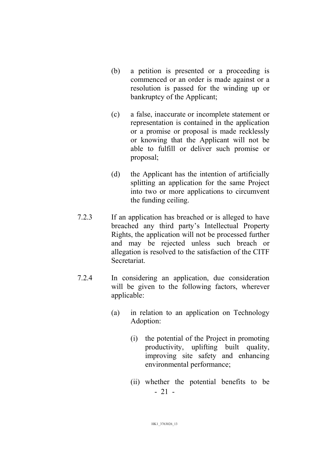- (b) a petition is presented or a proceeding is commenced or an order is made against or a resolution is passed for the winding up or bankruptcy of the Applicant;
- (c) a false, inaccurate or incomplete statement or representation is contained in the application or a promise or proposal is made recklessly or knowing that the Applicant will not be able to fulfill or deliver such promise or proposal;
- (d) the Applicant has the intention of artificially splitting an application for the same Project into two or more applications to circumvent the funding ceiling.
- 7.2.3 If an application has breached or is alleged to have breached any third party's Intellectual Property Rights, the application will not be processed further and may be rejected unless such breach or allegation is resolved to the satisfaction of the CITF **Secretariat**
- 7.2.4 In considering an application, due consideration will be given to the following factors, wherever applicable:
	- (a) in relation to an application on Technology Adoption:
		- (i) the potential of the Project in promoting productivity, uplifting built quality, improving site safety and enhancing environmental performance;
		- 21 (ii) whether the potential benefits to be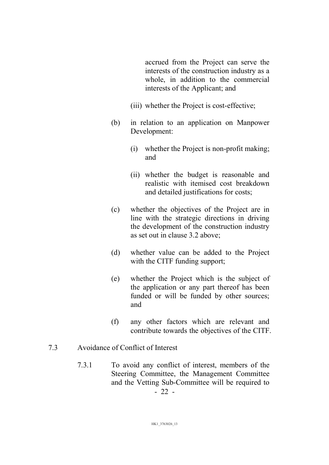accrued from the Project can serve the interests of the construction industry as a whole, in addition to the commercial interests of the Applicant; and

- (iii) whether the Project is cost-effective;
- (b) in relation to an application on Manpower Development:
	- (i) whether the Project is non-profit making; and
	- (ii) whether the budget is reasonable and realistic with itemised cost breakdown and detailed justifications for costs;
- (c) whether the objectives of the Project are in line with the strategic directions in driving the development of the construction industry as set out in clause 3.2 above;
- (d) whether value can be added to the Project with the CITF funding support;
- (e) whether the Project which is the subject of the application or any part thereof has been funded or will be funded by other sources; and
- (f) any other factors which are relevant and contribute towards the objectives of the CITF.
- 7.3 Avoidance of Conflict of Interest
	- 22 7.3.1 To avoid any conflict of interest, members of the Steering Committee, the Management Committee and the Vetting Sub-Committee will be required to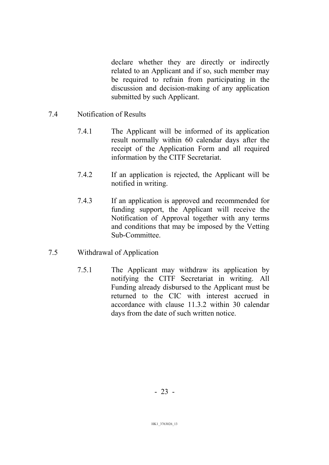declare whether they are directly or indirectly related to an Applicant and if so, such member may be required to refrain from participating in the discussion and decision-making of any application submitted by such Applicant.

- 7.4 Notification of Results
	- 7.4.1 The Applicant will be informed of its application result normally within 60 calendar days after the receipt of the Application Form and all required information by the CITF Secretariat.
	- 7.4.2 If an application is rejected, the Applicant will be notified in writing.
	- 7.4.3 If an application is approved and recommended for funding support, the Applicant will receive the Notification of Approval together with any terms and conditions that may be imposed by the Vetting Sub-Committee.
- 7.5 Withdrawal of Application
	- 7.5.1 The Applicant may withdraw its application by notifying the CITF Secretariat in writing. All Funding already disbursed to the Applicant must be returned to the CIC with interest accrued in accordance with clause 11.3.2 within 30 calendar days from the date of such written notice.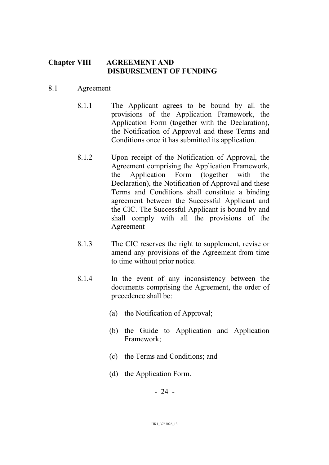#### Chapter VIII AGREEMENT AND DISBURSEMENT OF FUNDING

#### 8.1 Agreement

- 8.1.1 The Applicant agrees to be bound by all the provisions of the Application Framework, the Application Form (together with the Declaration), the Notification of Approval and these Terms and Conditions once it has submitted its application.
- 8.1.2 Upon receipt of the Notification of Approval, the Agreement comprising the Application Framework, the Application Form (together with the Declaration), the Notification of Approval and these Terms and Conditions shall constitute a binding agreement between the Successful Applicant and the CIC. The Successful Applicant is bound by and shall comply with all the provisions of the Agreement
- 8.1.3 The CIC reserves the right to supplement, revise or amend any provisions of the Agreement from time to time without prior notice.
- 8.1.4 In the event of any inconsistency between the documents comprising the Agreement, the order of precedence shall be:
	- (a) the Notification of Approval;
	- (b) the Guide to Application and Application Framework;
	- (c) the Terms and Conditions; and
	- (d) the Application Form.

- 24 -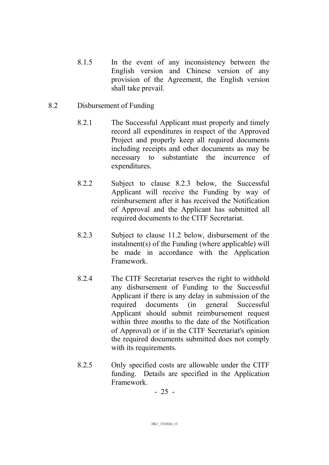- 8.1.5 In the event of any inconsistency between the English version and Chinese version of any provision of the Agreement, the English version shall take prevail.
- 8.2 Disbursement of Funding
	- 8.2.1 The Successful Applicant must properly and timely record all expenditures in respect of the Approved Project and properly keep all required documents including receipts and other documents as may be necessary to substantiate the incurrence of expenditures.
	- 8.2.2 Subject to clause 8.2.3 below, the Successful Applicant will receive the Funding by way of reimbursement after it has received the Notification of Approval and the Applicant has submitted all required documents to the CITF Secretariat.
	- 8.2.3 Subject to clause 11.2 below, disbursement of the instalment(s) of the Funding (where applicable) will be made in accordance with the Application Framework.
	- 8.2.4 The CITF Secretariat reserves the right to withhold any disbursement of Funding to the Successful Applicant if there is any delay in submission of the required documents (in general Successful Applicant should submit reimbursement request within three months to the date of the Notification of Approval) or if in the CITF Secretariat's opinion the required documents submitted does not comply with its requirements.
	- 8.2.5 Only specified costs are allowable under the CITF funding. Details are specified in the Application Framework.

- 25 -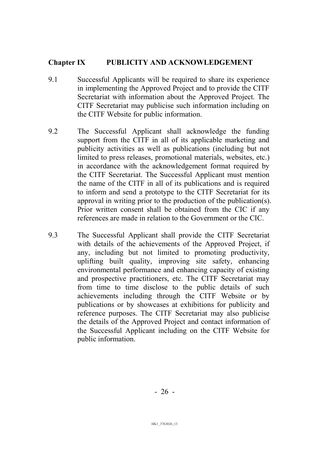#### Chapter IX PUBLICITY AND ACKNOWLEDGEMENT

- 9.1 Successful Applicants will be required to share its experience in implementing the Approved Project and to provide the CITF Secretariat with information about the Approved Project. The CITF Secretariat may publicise such information including on the CITF Website for public information.
- 9.2 The Successful Applicant shall acknowledge the funding support from the CITF in all of its applicable marketing and publicity activities as well as publications (including but not limited to press releases, promotional materials, websites, etc.) in accordance with the acknowledgement format required by the CITF Secretariat. The Successful Applicant must mention the name of the CITF in all of its publications and is required to inform and send a prototype to the CITF Secretariat for its approval in writing prior to the production of the publication(s). Prior written consent shall be obtained from the CIC if any references are made in relation to the Government or the CIC.
- 9.3 The Successful Applicant shall provide the CITF Secretariat with details of the achievements of the Approved Project, if any, including but not limited to promoting productivity, uplifting built quality, improving site safety, enhancing environmental performance and enhancing capacity of existing and prospective practitioners, etc. The CITF Secretariat may from time to time disclose to the public details of such achievements including through the CITF Website or by publications or by showcases at exhibitions for publicity and reference purposes. The CITF Secretariat may also publicise the details of the Approved Project and contact information of the Successful Applicant including on the CITF Website for public information.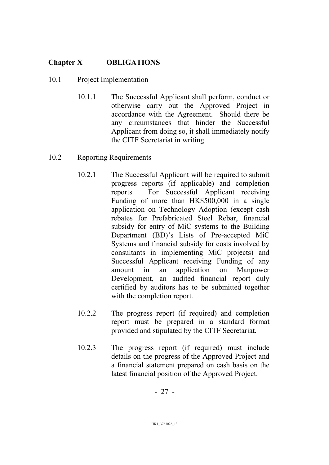# Chapter X OBLIGATIONS

# 10.1 Project Implementation

10.1.1 The Successful Applicant shall perform, conduct or otherwise carry out the Approved Project in accordance with the Agreement. Should there be any circumstances that hinder the Successful Applicant from doing so, it shall immediately notify the CITF Secretariat in writing.

## 10.2 Reporting Requirements

- 10.2.1 The Successful Applicant will be required to submit progress reports (if applicable) and completion reports. For Successful Applicant receiving Funding of more than HK\$500,000 in a single application on Technology Adoption (except cash rebates for Prefabricated Steel Rebar, financial subsidy for entry of MiC systems to the Building Department (BD)'s Lists of Pre-accepted MiC Systems and financial subsidy for costs involved by consultants in implementing MiC projects) and Successful Applicant receiving Funding of any amount in an application on Manpower Development, an audited financial report duly certified by auditors has to be submitted together with the completion report.
- 10.2.2 The progress report (if required) and completion report must be prepared in a standard format provided and stipulated by the CITF Secretariat.
- 10.2.3 The progress report (if required) must include details on the progress of the Approved Project and a financial statement prepared on cash basis on the latest financial position of the Approved Project.

- 27 -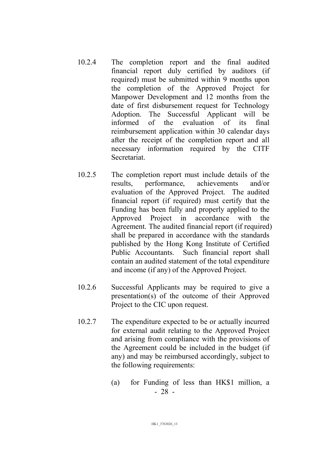- 10.2.4 The completion report and the final audited financial report duly certified by auditors (if required) must be submitted within 9 months upon the completion of the Approved Project for Manpower Development and 12 months from the date of first disbursement request for Technology Adoption. The Successful Applicant will be informed of the evaluation of its final reimbursement application within 30 calendar days after the receipt of the completion report and all necessary information required by the CITF Secretariat.
- 10.2.5 The completion report must include details of the results, performance, achievements and/or evaluation of the Approved Project. The audited financial report (if required) must certify that the Funding has been fully and properly applied to the Approved Project in accordance with the Agreement. The audited financial report (if required) shall be prepared in accordance with the standards published by the Hong Kong Institute of Certified Public Accountants. Such financial report shall contain an audited statement of the total expenditure and income (if any) of the Approved Project.
- 10.2.6 Successful Applicants may be required to give a presentation(s) of the outcome of their Approved Project to the CIC upon request.
- 10.2.7 The expenditure expected to be or actually incurred for external audit relating to the Approved Project and arising from compliance with the provisions of the Agreement could be included in the budget (if any) and may be reimbursed accordingly, subject to the following requirements:
	- 28 (a) for Funding of less than HK\$1 million, a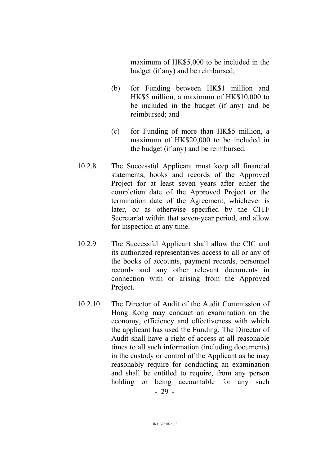maximum of HK\$5,000 to be included in the budget (if any) and be reimbursed;

- (b) for Funding between HK\$1 million and HK\$5 million, a maximum of HK\$10,000 to be included in the budget (if any) and be reimbursed; and
- (c) for Funding of more than HK\$5 million, a maximum of HK\$20,000 to be included in the budget (if any) and be reimbursed.
- 10.2.8 The Successful Applicant must keep all financial statements, books and records of the Approved Project for at least seven years after either the completion date of the Approved Project or the termination date of the Agreement, whichever is later, or as otherwise specified by the CITF Secretariat within that seven-year period, and allow for inspection at any time.
- 10.2.9 The Successful Applicant shall allow the CIC and its authorized representatives access to all or any of the books of accounts, payment records, personnel records and any other relevant documents in connection with or arising from the Approved Project.
- 10.2.10 The Director of Audit of the Audit Commission of Hong Kong may conduct an examination on the economy, efficiency and effectiveness with which the applicant has used the Funding. The Director of Audit shall have a right of access at all reasonable times to all such information (including documents) in the custody or control of the Applicant as he may reasonably require for conducting an examination and shall be entitled to require, from any person holding or being accountable for any such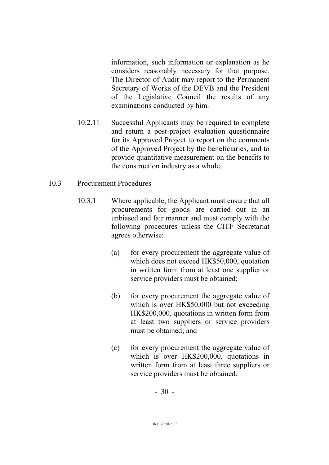information, such information or explanation as he considers reasonably necessary for that purpose. The Director of Audit may report to the Permanent Secretary of Works of the DEVB and the President of the Legislative Council the results of any examinations conducted by him.

10.2.11 Successful Applicants may be required to complete and return a post-project evaluation questionnaire for its Approved Project to report on the comments of the Approved Project by the beneficiaries, and to provide quantitative measurement on the benefits to the construction industry as a whole.

#### 10.3 Procurement Procedures

- 10.3.1 Where applicable, the Applicant must ensure that all procurements for goods are carried out in an unbiased and fair manner and must comply with the following procedures unless the CITF Secretariat agrees otherwise:
	- (a) for every procurement the aggregate value of which does not exceed HK\$50,000, quotation in written form from at least one supplier or service providers must be obtained;
	- (b) for every procurement the aggregate value of which is over HK\$50,000 but not exceeding HK\$200,000, quotations in written form from at least two suppliers or service providers must be obtained; and
	- (c) for every procurement the aggregate value of which is over HK\$200,000, quotations in written form from at least three suppliers or service providers must be obtained.

- 30 -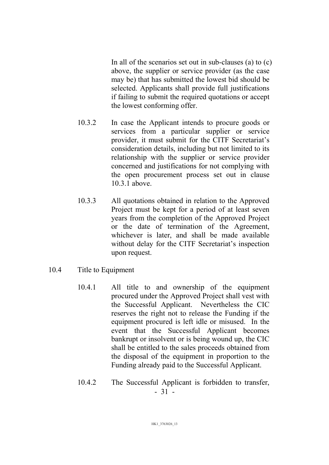In all of the scenarios set out in sub-clauses (a) to (c) above, the supplier or service provider (as the case may be) that has submitted the lowest bid should be selected. Applicants shall provide full justifications if failing to submit the required quotations or accept the lowest conforming offer.

- 10.3.2 In case the Applicant intends to procure goods or services from a particular supplier or service provider, it must submit for the CITF Secretariat's consideration details, including but not limited to its relationship with the supplier or service provider concerned and justifications for not complying with the open procurement process set out in clause 10.3.1 above.
- 10.3.3 All quotations obtained in relation to the Approved Project must be kept for a period of at least seven years from the completion of the Approved Project or the date of termination of the Agreement, whichever is later, and shall be made available without delay for the CITF Secretariat's inspection upon request.
- 10.4 Title to Equipment
	- 10.4.1 All title to and ownership of the equipment procured under the Approved Project shall vest with the Successful Applicant. Nevertheless the CIC reserves the right not to release the Funding if the equipment procured is left idle or misused. In the event that the Successful Applicant becomes bankrupt or insolvent or is being wound up, the CIC shall be entitled to the sales proceeds obtained from the disposal of the equipment in proportion to the Funding already paid to the Successful Applicant.
	- 31 10.4.2 The Successful Applicant is forbidden to transfer,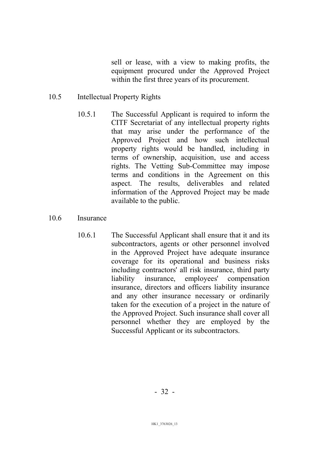sell or lease, with a view to making profits, the equipment procured under the Approved Project within the first three years of its procurement.

#### 10.5 Intellectual Property Rights

10.5.1 The Successful Applicant is required to inform the CITF Secretariat of any intellectual property rights that may arise under the performance of the Approved Project and how such intellectual property rights would be handled, including in terms of ownership, acquisition, use and access rights. The Vetting Sub-Committee may impose terms and conditions in the Agreement on this aspect. The results, deliverables and related information of the Approved Project may be made available to the public.

#### 10.6 Insurance

10.6.1 The Successful Applicant shall ensure that it and its subcontractors, agents or other personnel involved in the Approved Project have adequate insurance coverage for its operational and business risks including contractors' all risk insurance, third party liability insurance, employees' compensation insurance, directors and officers liability insurance and any other insurance necessary or ordinarily taken for the execution of a project in the nature of the Approved Project. Such insurance shall cover all personnel whether they are employed by the Successful Applicant or its subcontractors.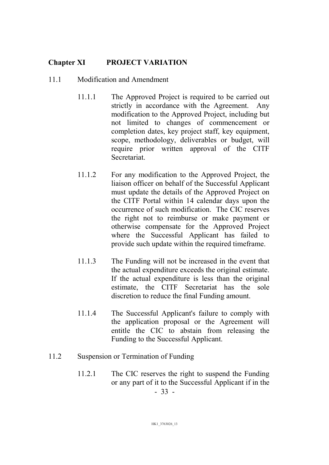## Chapter XI PROJECT VARIATION

#### 11.1 Modification and Amendment

- 11.1.1 The Approved Project is required to be carried out strictly in accordance with the Agreement. Any modification to the Approved Project, including but not limited to changes of commencement or completion dates, key project staff, key equipment, scope, methodology, deliverables or budget, will require prior written approval of the CITF Secretariat.
- 11.1.2 For any modification to the Approved Project, the liaison officer on behalf of the Successful Applicant must update the details of the Approved Project on the CITF Portal within 14 calendar days upon the occurrence of such modification. The CIC reserves the right not to reimburse or make payment or otherwise compensate for the Approved Project where the Successful Applicant has failed to provide such update within the required timeframe.
- 11.1.3 The Funding will not be increased in the event that the actual expenditure exceeds the original estimate. If the actual expenditure is less than the original estimate, the CITF Secretariat has the sole discretion to reduce the final Funding amount.
- 11.1.4 The Successful Applicant's failure to comply with the application proposal or the Agreement will entitle the CIC to abstain from releasing the Funding to the Successful Applicant.
- 11.2 Suspension or Termination of Funding
	- 11.2.1 The CIC reserves the right to suspend the Funding or any part of it to the Successful Applicant if in the

- 33 -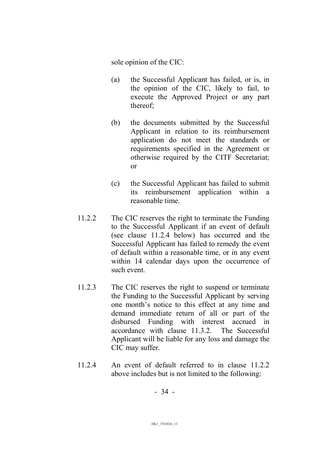sole opinion of the CIC:

- (a) the Successful Applicant has failed, or is, in the opinion of the CIC, likely to fail, to execute the Approved Project or any part thereof;
- (b) the documents submitted by the Successful Applicant in relation to its reimbursement application do not meet the standards or requirements specified in the Agreement or otherwise required by the CITF Secretariat; or
- (c) the Successful Applicant has failed to submit its reimbursement application within a reasonable time.
- 11.2.2 The CIC reserves the right to terminate the Funding to the Successful Applicant if an event of default (see clause 11.2.4 below) has occurred and the Successful Applicant has failed to remedy the event of default within a reasonable time, or in any event within 14 calendar days upon the occurrence of such event.
- 11.2.3 The CIC reserves the right to suspend or terminate the Funding to the Successful Applicant by serving one month's notice to this effect at any time and demand immediate return of all or part of the disbursed Funding with interest accrued in accordance with clause 11.3.2. The Successful Applicant will be liable for any loss and damage the CIC may suffer.
- 11.2.4 An event of default referred to in clause 11.2.2 above includes but is not limited to the following:

- 34 -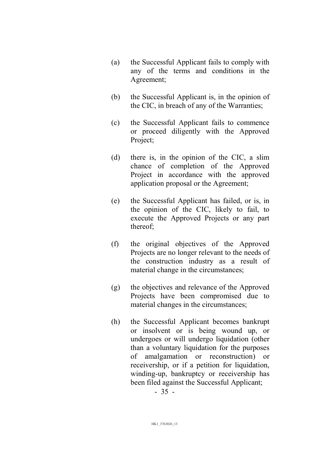- (a) the Successful Applicant fails to comply with any of the terms and conditions in the Agreement;
- (b) the Successful Applicant is, in the opinion of the CIC, in breach of any of the Warranties;
- (c) the Successful Applicant fails to commence or proceed diligently with the Approved Project;
- (d) there is, in the opinion of the CIC, a slim chance of completion of the Approved Project in accordance with the approved application proposal or the Agreement;
- (e) the Successful Applicant has failed, or is, in the opinion of the CIC, likely to fail, to execute the Approved Projects or any part thereof;
- (f) the original objectives of the Approved Projects are no longer relevant to the needs of the construction industry as a result of material change in the circumstances;
- (g) the objectives and relevance of the Approved Projects have been compromised due to material changes in the circumstances;
- (h) the Successful Applicant becomes bankrupt or insolvent or is being wound up, or undergoes or will undergo liquidation (other than a voluntary liquidation for the purposes of amalgamation or reconstruction) or receivership, or if a petition for liquidation, winding-up, bankruptcy or receivership has been filed against the Successful Applicant;

- 35 -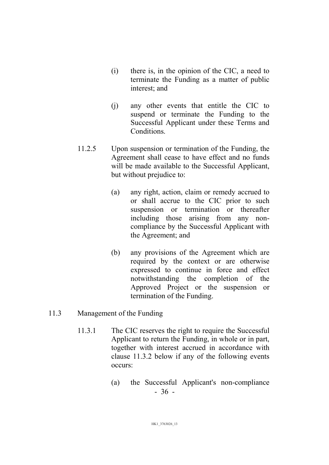- (i) there is, in the opinion of the CIC, a need to terminate the Funding as a matter of public interest; and
- (j) any other events that entitle the CIC to suspend or terminate the Funding to the Successful Applicant under these Terms and Conditions.
- 11.2.5 Upon suspension or termination of the Funding, the Agreement shall cease to have effect and no funds will be made available to the Successful Applicant, but without prejudice to:
	- (a) any right, action, claim or remedy accrued to or shall accrue to the CIC prior to such suspension or termination or thereafter including those arising from any noncompliance by the Successful Applicant with the Agreement; and
	- (b) any provisions of the Agreement which are required by the context or are otherwise expressed to continue in force and effect notwithstanding the completion of the Approved Project or the suspension or termination of the Funding.

#### 11.3 Management of the Funding

- 11.3.1 The CIC reserves the right to require the Successful Applicant to return the Funding, in whole or in part, together with interest accrued in accordance with clause 11.3.2 below if any of the following events occurs:
	- 36 (a) the Successful Applicant's non-compliance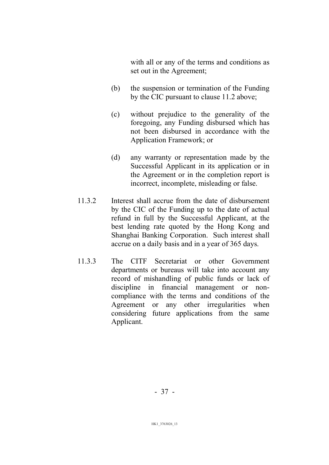with all or any of the terms and conditions as set out in the Agreement;

- (b) the suspension or termination of the Funding by the CIC pursuant to clause 11.2 above;
- (c) without prejudice to the generality of the foregoing, any Funding disbursed which has not been disbursed in accordance with the Application Framework; or
- (d) any warranty or representation made by the Successful Applicant in its application or in the Agreement or in the completion report is incorrect, incomplete, misleading or false.
- 11.3.2 Interest shall accrue from the date of disbursement by the CIC of the Funding up to the date of actual refund in full by the Successful Applicant, at the best lending rate quoted by the Hong Kong and Shanghai Banking Corporation. Such interest shall accrue on a daily basis and in a year of 365 days.
- 11.3.3 The CITF Secretariat or other Government departments or bureaus will take into account any record of mishandling of public funds or lack of discipline in financial management or noncompliance with the terms and conditions of the Agreement or any other irregularities when considering future applications from the same Applicant.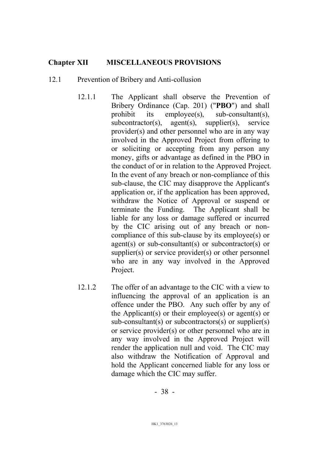#### Chapter XII MISCELLANEOUS PROVISIONS

#### 12.1 Prevention of Bribery and Anti-collusion

- 12.1.1 The Applicant shall observe the Prevention of Bribery Ordinance (Cap. 201) ("PBO") and shall prohibit its employee(s), sub-consultant(s), subcontractor(s), agent(s), supplier(s), service provider(s) and other personnel who are in any way involved in the Approved Project from offering to or soliciting or accepting from any person any money, gifts or advantage as defined in the PBO in the conduct of or in relation to the Approved Project. In the event of any breach or non-compliance of this sub-clause, the CIC may disapprove the Applicant's application or, if the application has been approved, withdraw the Notice of Approval or suspend or terminate the Funding. The Applicant shall be liable for any loss or damage suffered or incurred by the CIC arising out of any breach or noncompliance of this sub-clause by its employee(s) or agent(s) or sub-consultant(s) or subcontractor(s) or supplier(s) or service provider(s) or other personnel who are in any way involved in the Approved Project.
- 12.1.2 The offer of an advantage to the CIC with a view to influencing the approval of an application is an offence under the PBO. Any such offer by any of the Applicant(s) or their employee(s) or agent(s) or sub-consultant(s) or subcontractors(s) or supplier(s) or service provider(s) or other personnel who are in any way involved in the Approved Project will render the application null and void. The CIC may also withdraw the Notification of Approval and hold the Applicant concerned liable for any loss or damage which the CIC may suffer.

- 38 -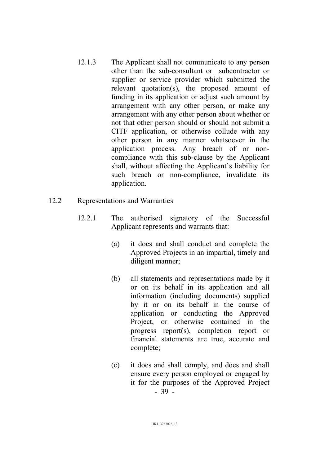- 12.1.3 The Applicant shall not communicate to any person other than the sub-consultant or subcontractor or supplier or service provider which submitted the relevant quotation(s), the proposed amount of funding in its application or adjust such amount by arrangement with any other person, or make any arrangement with any other person about whether or not that other person should or should not submit a CITF application, or otherwise collude with any other person in any manner whatsoever in the application process. Any breach of or noncompliance with this sub-clause by the Applicant shall, without affecting the Applicant's liability for such breach or non-compliance, invalidate its application.
- 12.2 Representations and Warranties
	- 12.2.1 The authorised signatory of the Successful Applicant represents and warrants that:
		- (a) it does and shall conduct and complete the Approved Projects in an impartial, timely and diligent manner;
		- (b) all statements and representations made by it or on its behalf in its application and all information (including documents) supplied by it or on its behalf in the course of application or conducting the Approved Project, or otherwise contained in the progress report(s), completion report or financial statements are true, accurate and complete;
		- 39 (c) it does and shall comply, and does and shall ensure every person employed or engaged by it for the purposes of the Approved Project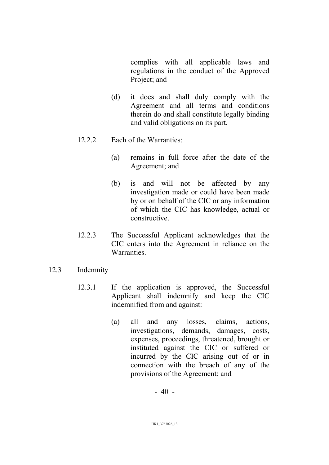complies with all applicable laws and regulations in the conduct of the Approved Project; and

- (d) it does and shall duly comply with the Agreement and all terms and conditions therein do and shall constitute legally binding and valid obligations on its part.
- 12.2.2 Each of the Warranties:
	- (a) remains in full force after the date of the Agreement; and
	- (b) is and will not be affected by any investigation made or could have been made by or on behalf of the CIC or any information of which the CIC has knowledge, actual or constructive.
- 12.2.3 The Successful Applicant acknowledges that the CIC enters into the Agreement in reliance on the Warranties.
- 12.3 Indemnity
	- 12.3.1 If the application is approved, the Successful Applicant shall indemnify and keep the CIC indemnified from and against:
		- (a) all and any losses, claims, actions, investigations, demands, damages, costs, expenses, proceedings, threatened, brought or instituted against the CIC or suffered or incurred by the CIC arising out of or in connection with the breach of any of the provisions of the Agreement; and

- 40 -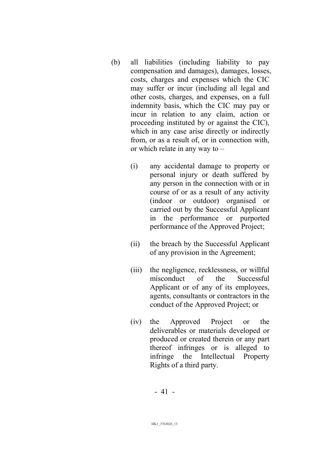- (b) all liabilities (including liability to pay compensation and damages), damages, losses, costs, charges and expenses which the CIC may suffer or incur (including all legal and other costs, charges, and expenses, on a full indemnity basis, which the CIC may pay or incur in relation to any claim, action or proceeding instituted by or against the CIC), which in any case arise directly or indirectly from, or as a result of, or in connection with, or which relate in any way to –
	- (i) any accidental damage to property or personal injury or death suffered by any person in the connection with or in course of or as a result of any activity (indoor or outdoor) organised or carried out by the Successful Applicant in the performance or purported performance of the Approved Project;
	- (ii) the breach by the Successful Applicant of any provision in the Agreement;
	- (iii) the negligence, recklessness, or willful misconduct of the Successful Applicant or of any of its employees, agents, consultants or contractors in the conduct of the Approved Project; or
	- (iv) the Approved Project or the deliverables or materials developed or produced or created therein or any part thereof infringes or is alleged to infringe the Intellectual Property Rights of a third party.

- 41 -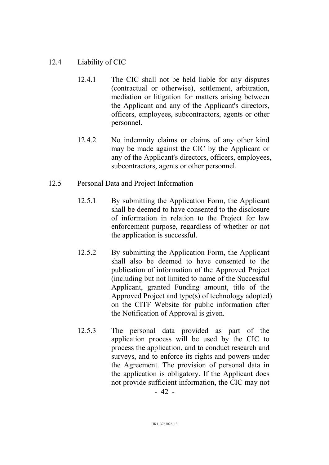## 12.4 Liability of CIC

- 12.4.1 The CIC shall not be held liable for any disputes (contractual or otherwise), settlement, arbitration, mediation or litigation for matters arising between the Applicant and any of the Applicant's directors, officers, employees, subcontractors, agents or other personnel.
- 12.4.2 No indemnity claims or claims of any other kind may be made against the CIC by the Applicant or any of the Applicant's directors, officers, employees, subcontractors, agents or other personnel.
- 12.5 Personal Data and Project Information
	- 12.5.1 By submitting the Application Form, the Applicant shall be deemed to have consented to the disclosure of information in relation to the Project for law enforcement purpose, regardless of whether or not the application is successful.
	- 12.5.2 By submitting the Application Form, the Applicant shall also be deemed to have consented to the publication of information of the Approved Project (including but not limited to name of the Successful Applicant, granted Funding amount, title of the Approved Project and type(s) of technology adopted) on the CITF Website for public information after the Notification of Approval is given.
	- 12.5.3 The personal data provided as part of the application process will be used by the CIC to process the application, and to conduct research and surveys, and to enforce its rights and powers under the Agreement. The provision of personal data in the application is obligatory. If the Applicant does not provide sufficient information, the CIC may not

- 42 -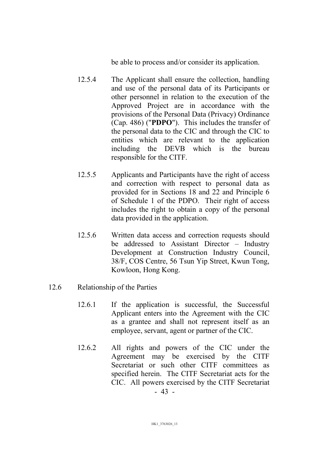be able to process and/or consider its application.

- 12.5.4 The Applicant shall ensure the collection, handling and use of the personal data of its Participants or other personnel in relation to the execution of the Approved Project are in accordance with the provisions of the Personal Data (Privacy) Ordinance (Cap. 486) ("PDPO"). This includes the transfer of the personal data to the CIC and through the CIC to entities which are relevant to the application including the DEVB which is the bureau responsible for the CITF.
- 12.5.5 Applicants and Participants have the right of access and correction with respect to personal data as provided for in Sections 18 and 22 and Principle 6 of Schedule 1 of the PDPO. Their right of access includes the right to obtain a copy of the personal data provided in the application.
- 12.5.6 Written data access and correction requests should be addressed to Assistant Director – Industry Development at Construction Industry Council, 38/F, COS Centre, 56 Tsun Yip Street, Kwun Tong, Kowloon, Hong Kong.
- 12.6 Relationship of the Parties
	- 12.6.1 If the application is successful, the Successful Applicant enters into the Agreement with the CIC as a grantee and shall not represent itself as an employee, servant, agent or partner of the CIC.
	- 12.6.2 All rights and powers of the CIC under the Agreement may be exercised by the CITF Secretariat or such other CITF committees as specified herein. The CITF Secretariat acts for the CIC. All powers exercised by the CITF Secretariat

- 43 -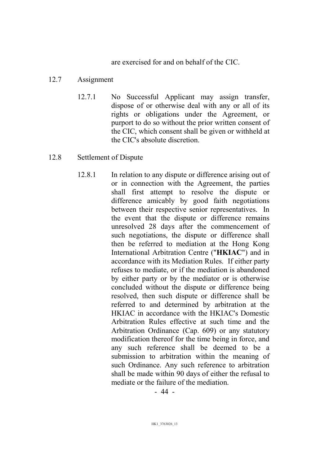are exercised for and on behalf of the CIC.

#### 12.7 Assignment

12.7.1 No Successful Applicant may assign transfer, dispose of or otherwise deal with any or all of its rights or obligations under the Agreement, or purport to do so without the prior written consent of the CIC, which consent shall be given or withheld at the CIC's absolute discretion.

#### 12.8 Settlement of Dispute

12.8.1 In relation to any dispute or difference arising out of or in connection with the Agreement, the parties shall first attempt to resolve the dispute or difference amicably by good faith negotiations between their respective senior representatives. In the event that the dispute or difference remains unresolved 28 days after the commencement of such negotiations, the dispute or difference shall then be referred to mediation at the Hong Kong International Arbitration Centre ("HKIAC") and in accordance with its Mediation Rules. If either party refuses to mediate, or if the mediation is abandoned by either party or by the mediator or is otherwise concluded without the dispute or difference being resolved, then such dispute or difference shall be referred to and determined by arbitration at the HKIAC in accordance with the HKIAC's Domestic Arbitration Rules effective at such time and the Arbitration Ordinance (Cap. 609) or any statutory modification thereof for the time being in force, and any such reference shall be deemed to be a submission to arbitration within the meaning of such Ordinance. Any such reference to arbitration shall be made within 90 days of either the refusal to mediate or the failure of the mediation.

- 44 -